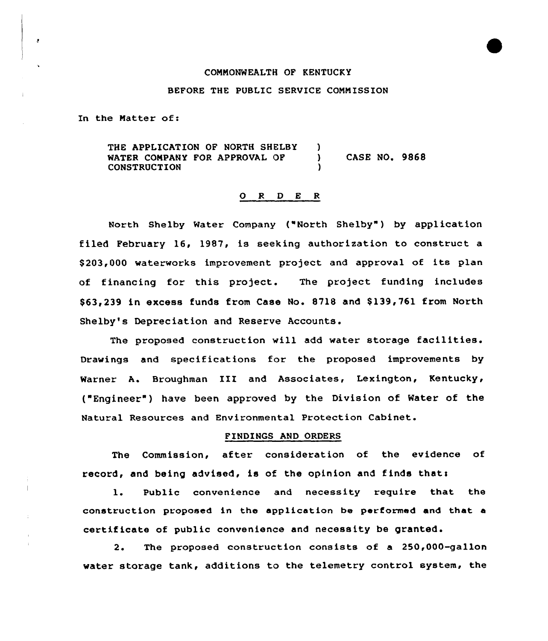## COMMONWEALTH OF KENTUCKY

## BEFORE THE PUBLIC SERVICE COMMISSION

In the Matter of:

 $\cdot$ 

THE APPLICATION OF NORTH SHELBY )<br>WATER COMPANY FOR APPROVAL OF ) WATER COMPANY FOR APPROVAL OF ) CASE NO. 9868 **CONSTRUCTION** 

## 0 <sup>R</sup> <sup>D</sup> <sup>E</sup> <sup>R</sup>

North Shelby Water Company {"North Shelby" ) by application filed February 16, 1987, is seeking authorization to construct a \$ 203,000 waterworks improvement project and approval of its plan of financing for this project. The project funding includes \$63,239 in excess funds from Case No. 8718 and \$ 139,761 from North Shelby's Depreciation and Reserve Accounts.

The proposed construction will add water storage facilities. Drawings and specifications for the proposed improvements by Warner A. Broughman III and Associates, Lexington, Kentucky, ("Engineer ) have been approved by the Division of Water of the Natural Resources and Environmental Protection Cabinet.

## FINDINGS AND ORDERS

The Commission, after consideration of the evidence of record, and being advised, is of the opinion and finds thats

1. Public convenience and necessity require that the construction proposed in the application be performed and that a certif icate of public convenience and necessity be granted.

2. The proposed construction consists of a 250,000-gallon water storage tank, additions to the telemetry control system, the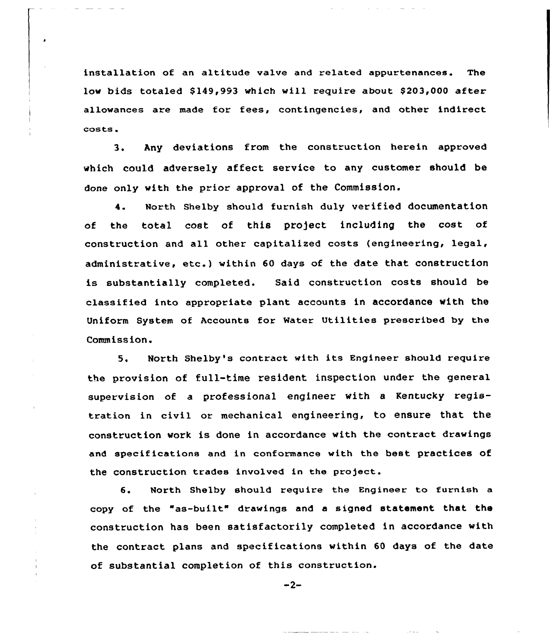installation of an altitude valve and related appurtenances. The low bids totaled \$149,993 which will require about \$203,000 after allowances are made for fees, contingencies, and other indirect costs.

3. Any deviations from the construction herein approved which could adversely affect service to any customer should be done only with the prior approval of the Commission.

4. North Shelby should furnish duly verified documentation of the total cost of this pro)ect including the cost of construction and all other capitalized costs (engineering, legal, administrative, etc.) within <sup>60</sup> days of the date that construction is substantially completed. Said construction costs should be classified into appropriate plant accounts in accordance vith the Uniform System of Accounts for Water Utilities prescribed by the Commission.

5. North Shelby's contract with its Engineer should require the provision of full-time resident inspection under the general supervision of a professional engineer with <sup>a</sup> Kentucky registration in civil or mechanical engineering, to ensure that the construction vork is done in accordance with the contract drawings and specifications and in conformance with the best practices of the construction trades involved in the project.

6. North Shelby should require the Engineer to furnish a copy of the "as-built" drawings and <sup>a</sup> signed statement that the construction has been satisfactorily completed in accordance with the contract plans and specifications within 60 days of the date of substantial completion of this construction.

$$
-2-
$$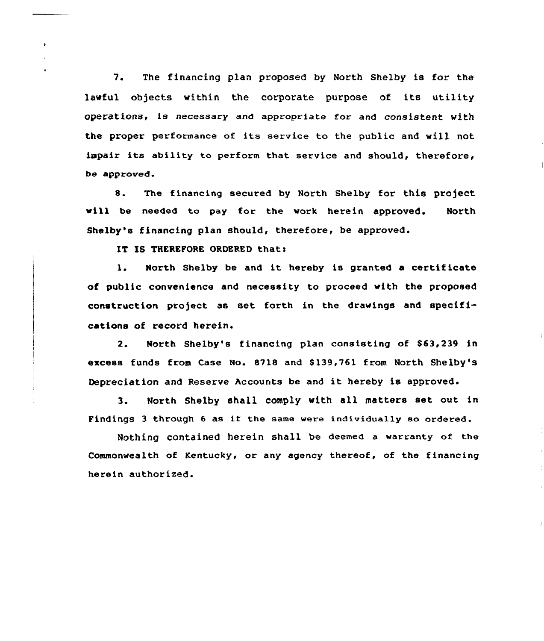7. The financing plan proposed by North Shelby is for the lawful objects within the corporate purpose of its utility operations, is necessary and appropriate for and consistent with the proper performance of its service to the public and will not impair its ability to perform that service and should, therefore, be approved.

8. The financing secured by North Shelby for this project will be needed to pay for the work herein approved. North Shelby's financing plan should, therefore, be approved.

IT IS THEREFORE ORDERED that:

1. North Shelby be and it hereby is granted a certificate of public convenience and necessity to proceed with the proposed construction project as set forth in the drawings and specifications of record herein.

2. North Shelby's financing plan consisting of \$63,239 in excess funds from Case No. 8718 and \$139,761 from North Shelby's Depreciation and Reserve Accounts be and it hereby is approved.

3. North Shelby shall comply with all matters set out in Findings 3 through 6 as if the same were individually so ordered.

Nothing contained herein shall be deemed a warranty of the Commonwealth of Kentucky, or any agency thereof, of the financing herein authorized.